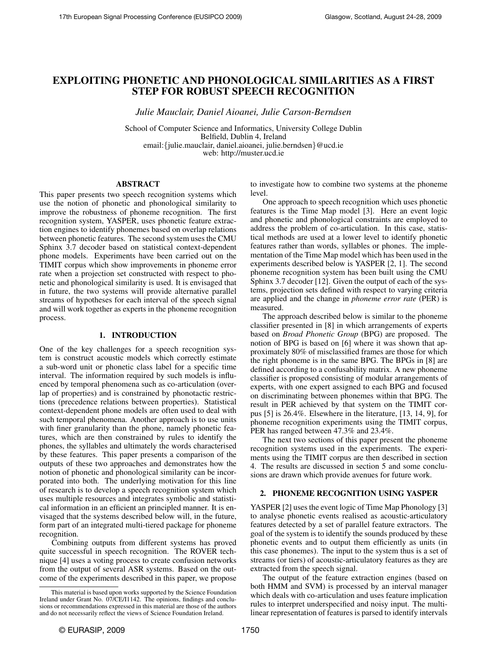# EXPLOITING PHONETIC AND PHONOLOGICAL SIMILARITIES AS A FIRST STEP FOR ROBUST SPEECH RECOGNITION

*Julie Mauclair, Daniel Aioanei, Julie Carson-Berndsen*

School of Computer Science and Informatics, University College Dublin Belfield, Dublin 4, Ireland email:{julie.mauclair, daniel.aioanei, julie.berndsen}@ucd.ie web: http://muster.ucd.ie

## ABSTRACT

This paper presents two speech recognition systems which use the notion of phonetic and phonological similarity to improve the robustness of phoneme recognition. The first recognition system, YASPER, uses phonetic feature extraction engines to identify phonemes based on overlap relations between phonetic features. The second system uses the CMU Sphinx 3.7 decoder based on statistical context-dependent phone models. Experiments have been carried out on the TIMIT corpus which show improvements in phoneme error rate when a projection set constructed with respect to phonetic and phonological similarity is used. It is envisaged that in future, the two systems will provide alternative parallel streams of hypotheses for each interval of the speech signal and will work together as experts in the phoneme recognition process.

#### 1. INTRODUCTION

One of the key challenges for a speech recognition system is construct acoustic models which correctly estimate a sub-word unit or phonetic class label for a specific time interval. The information required by such models is influenced by temporal phenomena such as co-articulation (overlap of properties) and is constrained by phonotactic restrictions (precedence relations between properties). Statistical context-dependent phone models are often used to deal with such temporal phenomena. Another approach is to use units with finer granularity than the phone, namely phonetic features, which are then constrained by rules to identify the phones, the syllables and ultimately the words characterised by these features. This paper presents a comparison of the outputs of these two approaches and demonstrates how the notion of phonetic and phonological similarity can be incorporated into both. The underlying motivation for this line of research is to develop a speech recognition system which uses multiple resources and integrates symbolic and statistical information in an efficient an principled manner. It is envisaged that the systems described below will, in the future, form part of an integrated multi-tiered package for phoneme recognition.

Combining outputs from different systems has proved quite successful in speech recognition. The ROVER technique [4] uses a voting process to create confusion networks from the output of several ASR systems. Based on the outcome of the experiments described in this paper, we propose to investigate how to combine two systems at the phoneme level.

One approach to speech recognition which uses phonetic features is the Time Map model [3]. Here an event logic and phonetic and phonological constraints are employed to address the problem of co-articulation. In this case, statistical methods are used at a lower level to identify phonetic features rather than words, syllables or phones. The implementation of the Time Map model which has been used in the experiments described below is YASPER [2, 1]. The second phoneme recognition system has been built using the CMU Sphinx 3.7 decoder [12]. Given the output of each of the systems, projection sets defined with respect to varying criteria are applied and the change in *phoneme error rate* (PER) is measured.

The approach described below is similar to the phoneme classifier presented in [8] in which arrangements of experts based on *Broad Phonetic Group* (BPG) are proposed. The notion of BPG is based on [6] where it was shown that approximately 80% of misclassified frames are those for which the right phoneme is in the same BPG. The BPGs in [8] are defined according to a confusability matrix. A new phoneme classifier is proposed consisting of modular arrangements of experts, with one expert assigned to each BPG and focused on discriminating between phonemes within that BPG. The result in PER achieved by that system on the TIMIT corpus [5] is 26.4%. Elsewhere in the literature, [13, 14, 9], for phoneme recognition experiments using the TIMIT corpus, PER has ranged between 47.3% and 23.4%.

The next two sections of this paper present the phoneme recognition systems used in the experiments. The experiments using the TIMIT corpus are then described in section 4. The results are discussed in section 5 and some conclusions are drawn which provide avenues for future work.

## 2. PHONEME RECOGNITION USING YASPER

YASPER [2] uses the event logic of Time Map Phonology [3] to analyse phonetic events realised as acoustic-articulatory features detected by a set of parallel feature extractors. The goal of the system is to identify the sounds produced by these phonetic events and to output them efficiently as units (in this case phonemes). The input to the system thus is a set of streams (or tiers) of acoustic-articulatory features as they are extracted from the speech signal.

The output of the feature extraction engines (based on both HMM and SVM) is processed by an interval manager which deals with co-articulation and uses feature implication rules to interpret underspecified and noisy input. The multilinear representation of features is parsed to identify intervals

This material is based upon works supported by the Science Foundation Ireland under Grant No. 07/CE/I1142. The opinions, findings and conclusions or recommendations expressed in this material are those of the authors and do not necessarily reflect the views of Science Foundation Ireland.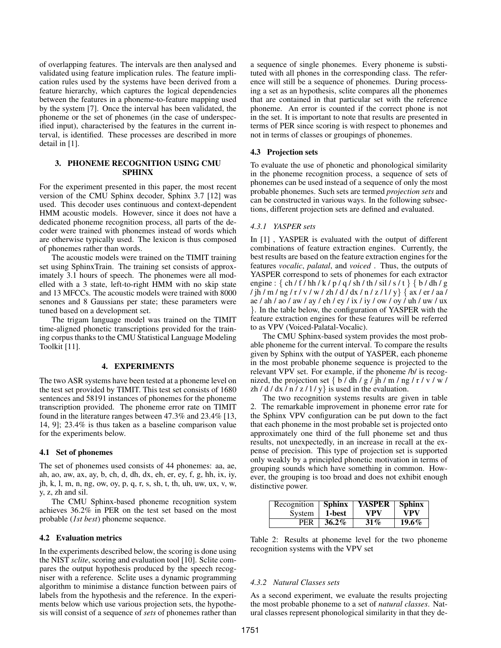of overlapping features. The intervals are then analysed and validated using feature implication rules. The feature implication rules used by the systems have been derived from a feature hierarchy, which captures the logical dependencies between the features in a phoneme-to-feature mapping used by the system [7]. Once the interval has been validated, the phoneme or the set of phonemes (in the case of underspecified input), characterised by the features in the current interval, is identified. These processes are described in more detail in [1].

#### 3. PHONEME RECOGNITION USING CMU SPHINX

For the experiment presented in this paper, the most recent version of the CMU Sphinx decoder, Sphinx 3.7 [12] was used. This decoder uses continuous and context-dependent HMM acoustic models. However, since it does not have a dedicated phoneme recognition process, all parts of the decoder were trained with phonemes instead of words which are otherwise typically used. The lexicon is thus composed of phonemes rather than words.

The acoustic models were trained on the TIMIT training set using SphinxTrain. The training set consists of approximately 3.1 hours of speech. The phonemes were all modelled with a 3 state, left-to-right HMM with no skip state and 13 MFCCs. The acoustic models were trained with 8000 senones and 8 Gaussians per state; these parameters were tuned based on a development set.

The trigam language model was trained on the TIMIT time-aligned phonetic transcriptions provided for the training corpus thanks to the CMU Statistical Language Modeling Toolkit [11].

## 4. EXPERIMENTS

The two ASR systems have been tested at a phoneme level on the test set provided by TIMIT. This test set consists of 1680 sentences and 58191 instances of phonemes for the phoneme transcription provided. The phoneme error rate on TIMIT found in the literature ranges between 47.3% and 23.4% [13, 14, 9]; 23.4% is thus taken as a baseline comparison value for the experiments below.

#### 4.1 Set of phonemes

The set of phonemes used consists of 44 phonemes: aa, ae, ah, ao, aw, ax, ay, b, ch, d, dh, dx, eh, er, ey, f, g, hh, ix, iy, jh, k, l, m, n, ng, ow, oy, p, q, r, s, sh, t, th, uh, uw, ux, v, w, y, z, zh and sil.

The CMU Sphinx-based phoneme recognition system achieves 36.2% in PER on the test set based on the most probable (*1st best*) phoneme sequence.

#### 4.2 Evaluation metrics

In the experiments described below, the scoring is done using the NIST *sclite*, scoring and evaluation tool [10]. Sclite compares the output hypothesis produced by the speech recogniser with a reference. Sclite uses a dynamic programming algorithm to minimise a distance function between pairs of labels from the hypothesis and the reference. In the experiments below which use various projection sets, the hypothesis will consist of a sequence of *sets* of phonemes rather than a sequence of single phonemes. Every phoneme is substituted with all phones in the corresponding class. The reference will still be a sequence of phonemes. During processing a set as an hypothesis, sclite compares all the phonemes that are contained in that particular set with the reference phoneme. An error is counted if the correct phone is not in the set. It is important to note that results are presented in terms of PER since scoring is with respect to phonemes and not in terms of classes or groupings of phonemes.

## 4.3 Projection sets

To evaluate the use of phonetic and phonological similarity in the phoneme recognition process, a sequence of sets of phonemes can be used instead of a sequence of only the most probable phonemes. Such sets are termed *projection sets* and can be constructed in various ways. In the following subsections, different projection sets are defined and evaluated.

## *4.3.1 YASPER sets*

In [1] , YASPER is evaluated with the output of different combinations of feature extraction engines. Currently, the best results are based on the feature extraction engines for the features *vocalic*, *palatal*, and *voiced* . Thus, the outputs of YASPER correspond to sets of phonemes for each extractor engine : { ch / f / hh / k / p / q / sh / th / sil / s / t } { b / dh / g / jh / m / ng / r / v / w / zh / d / dx / n / z / l / y} { ax / er / aa / ae / ah / ao / aw / ay / eh / ey / ix / iy / ow / oy / uh / uw / ux }. In the table below, the configuration of YASPER with the feature extraction engines for these features will be referred to as VPV (Voiced-Palatal-Vocalic).

The CMU Sphinx-based system provides the most probable phoneme for the current interval. To compare the results given by Sphinx with the output of YASPER, each phoneme in the most probable phoneme sequence is projected to the relevant VPV set. For example, if the phoneme /b/ is recognized, the projection set  $\{ b / dh / g / jh / m / ng / r / v / w /$ zh /  $d / dx / n / z / 1 / y$  is used in the evaluation.

The two recognition systems results are given in table 2. The remarkable improvement in phoneme error rate for the Sphinx VPV configuration can be put down to the fact that each phoneme in the most probable set is projected onto approximately one third of the full phoneme set and thus results, not unexpectedly, in an increase in recall at the expense of precision. This type of projection set is supported only weakly by a principled phonetic motivation in terms of grouping sounds which have something in common. However, the grouping is too broad and does not exhibit enough distinctive power.

| Recognition | $\vert$ Sphinx | <b>YASPER</b> | <b>Sphinx</b> |
|-------------|----------------|---------------|---------------|
| System      | 1-best         | VPV           | VPV           |
| <b>PER</b>  | $36.2\%$       | $31\%$        |               |

Table 2: Results at phoneme level for the two phoneme recognition systems with the VPV set

#### *4.3.2 Natural Classes sets*

As a second experiment, we evaluate the results projecting the most probable phoneme to a set of *natural classes*. Natural classes represent phonological similarity in that they de-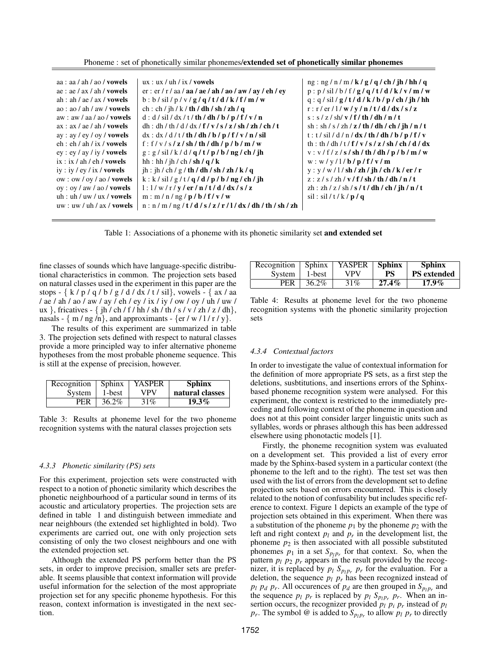Phoneme : set of phonetically similar phonemes/extended set of phonetically similar phonemes

| aa : aa / ah / ao / <b>vowels</b> | ux: ux / uh / ix / vowels                                                                                                                                                                                                                                                                                                                                                                                                       | ng: ng/n/m/k/g/q/ch/jh/hh/q                                  |
|-----------------------------------|---------------------------------------------------------------------------------------------------------------------------------------------------------------------------------------------------------------------------------------------------------------------------------------------------------------------------------------------------------------------------------------------------------------------------------|--------------------------------------------------------------|
| ae: ae / ax / ah / vowels         | $er: er / r / aa / aa / ae / ah / ao / aw / av / eh / ev$                                                                                                                                                                                                                                                                                                                                                                       | p: p/sil/b/f/g/q/t/d/k/v/m/w                                 |
| ah : ah / ae / ax / vowels        | b:b/sil/p/v/g/q/t/d/k/f/m/w                                                                                                                                                                                                                                                                                                                                                                                                     | $q: q / \mathrm{sil}/g / t / d / k / b / p / ch / j h / h h$ |
| ao: ao/ah/aw/ <b>vowels</b>       | ch: ch / jh / k / <b>th / dh / sh / zh / q</b>                                                                                                                                                                                                                                                                                                                                                                                  | $r: r / er / l / w / v / n / t / d / dx / s / z$             |
| aw: aw / aa / ao / vowels         | $d : d / \tilde{sl} / dx / t / th / dh / b / p / f / v / n$                                                                                                                                                                                                                                                                                                                                                                     | $s: s / z / sh / v / f / th / dh / n / t$                    |
| ax : ax / ae / ah / vowels        | $dh : dh / th / d / dx / f / v / s / z / sh / zh / ch / t$                                                                                                                                                                                                                                                                                                                                                                      | sh : sh / s / zh / z / th / dh / ch / jh / n / t             |
| ay: ay / ey / oy / vowels         | $dx : dx / d / t / th / dh / b / p / f / v / n / sil$                                                                                                                                                                                                                                                                                                                                                                           | $t$ : $t$ / sil / d / n / dx / th / dh / b / p / f / v       |
| eh : eh / ah / ix / vowels        | f: f/v/s/z/sh/th/dh/p/b/m/w                                                                                                                                                                                                                                                                                                                                                                                                     | th: th / dh / t / f / v / s / z / sh / ch / d / dx           |
| ey: ey / ay / iy / vowels         | $g : g / \tilde{sl} / k / d / q / t / p / b / ng / ch / jh$                                                                                                                                                                                                                                                                                                                                                                     | v: v/f/z/s/sh/th/dh/p/b/m/w                                  |
| ix : ix / ah / eh / vowels        | hh : hh / jh / ch / sh / q / k                                                                                                                                                                                                                                                                                                                                                                                                  | w: w / v / l / b / p / f / v / m                             |
| iy : iy / ey / ix / vowels        | $\frac{\mathrm{d}}{\mathrm{d}t}$ : $\frac{\mathrm{d}}{\mathrm{d}t}$ / $\frac{\mathrm{d}}{\mathrm{d}t}$ / $\frac{\mathrm{d}}{\mathrm{d}t}$ / $\frac{\mathrm{d}}{\mathrm{d}t}$ / $\frac{\mathrm{d}}{\mathrm{d}t}$ / $\frac{\mathrm{d}}{\mathrm{d}t}$ / $\frac{\mathrm{d}}{\mathrm{d}t}$ / $\frac{\mathrm{d}}{\mathrm{d}t}$ / $\frac{\mathrm{d}}{\mathrm{d}t}$ / $\frac{\mathrm{d}}{\mathrm{d}t}$ / $\frac{\mathrm{d}}{\mathrm{d}$ | $y: y / w / l / sh / zh / ih / ch / k / er / r$              |
| ow:ow / ov / ao / vowels          | $k : k / \sin l / g / t / q / d / p / b / ng / ch / jh$                                                                                                                                                                                                                                                                                                                                                                         | $z: z / s / zh / v / f / sh / th / dh / n / t$               |
| $oy: oy/aw/ao/$ vowels            | 1:1/w/r/y/er/n/t/d/dx/s/z                                                                                                                                                                                                                                                                                                                                                                                                       | zh : zh / z / sh / s / t / dh / ch / jh / n / t              |
| uh: uh / uw / ux / vowels         | m : m / n / ng / p / b / f / v / w                                                                                                                                                                                                                                                                                                                                                                                              | sil: sil/t/k/p/q                                             |
| $uw: uw/uh/ax/$ vowels            | $n : n / m / ng / t / d / s / z / r / l / dx / dh / th / sh / zh$                                                                                                                                                                                                                                                                                                                                                               |                                                              |
|                                   |                                                                                                                                                                                                                                                                                                                                                                                                                                 |                                                              |

Table 1: Associations of a phoneme with its phonetic similarity set and extended set

fine classes of sounds which have language-specific distributional characteristics in common. The projection sets based on natural classes used in the experiment in this paper are the stops - { k / p / q / b / g / d / dx / t / sil}, vowels - { ax / aa / ae / ah / ao / aw / ay / eh / ey / ix / iy / ow / oy / uh / uw / ux }, fricatives - { jh / ch / f / hh / sh / th / s / v / zh / z / dh}, nasals -  $\{ m / ng / n \}$ , and approximants -  $\{ er / w / l / r / y \}$ .

The results of this experiment are summarized in table 3. The projection sets defined with respect to natural classes provide a more principled way to infer alternative phoneme hypotheses from the most probable phoneme sequence. This is still at the expense of precision, however.

| Recognition | $\vert$ Sphinx | <b>YASPER</b> | Sphinx          |
|-------------|----------------|---------------|-----------------|
| System      | 1-best         | VPV           | natural classes |
| PER         | 36.2%          | 31%           | $19.3\%$        |

Table 3: Results at phoneme level for the two phoneme recognition systems with the natural classes projection sets

## *4.3.3 Phonetic similarity (PS) sets*

For this experiment, projection sets were constructed with respect to a notion of phonetic similarity which describes the phonetic neighbourhood of a particular sound in terms of its acoustic and articulatory properties. The projection sets are defined in table 1 and distinguish between immediate and near neighbours (the extended set highlighted in bold). Two experiments are carried out, one with only projection sets consisting of only the two closest neighbours and one with the extended projection set.

Although the extended PS perform better than the PS sets, in order to improve precision, smaller sets are preferable. It seems plausible that context information will provide useful information for the selection of the most appropriate projection set for any specific phoneme hypothesis. For this reason, context information is investigated in the next section.

| Recognition | $\vert$ Sphinx | <b>YASPER</b> | <b>Sphinx</b> | <b>Sphinx</b>      |
|-------------|----------------|---------------|---------------|--------------------|
| System      | 1-best         | VPV           | PS            | <b>PS</b> extended |
| <b>PER</b>  | $36.2\%$       | 31%           | $27.4\%$      | $17.9\%$           |

Table 4: Results at phoneme level for the two phoneme recognition systems with the phonetic similarity projection sets

## *4.3.4 Contextual factors*

In order to investigate the value of contextual information for the definition of more appropriate PS sets, as a first step the deletions, susbtitutions, and insertions errors of the Sphinxbased phoneme recognition system were analysed. For this experiment, the context is restricted to the immediately preceding and following context of the phoneme in question and does not at this point consider larger linguistic units such as syllables, words or phrases although this has been addressed elsewhere using phonotactic models [1].

Firstly, the phoneme recognition system was evaluated on a development set. This provided a list of every error made by the Sphinx-based system in a particular context (the phoneme to the left and to the right). The test set was then used with the list of errors from the development set to define projection sets based on errors encountered. This is closely related to the notion of confusability but includes specific reference to context. Figure 1 depicts an example of the type of projection sets obtained in this experiment. When there was a substitution of the phoneme  $p_1$  by the phoneme  $p_2$  with the left and right context  $p_l$  and  $p_r$  in the development list, the phoneme  $p_2$  is then associated with all possible substituted phonemes  $p_1$  in a set  $S_{p_1p_r}$  for that context. So, when the pattern  $p_l$   $p_2$   $p_r$  appears in the result provided by the recognizer, it is replaced by  $p_l S_{p_l p_r} p_r$  for the evaluation. For a deletion, the sequence  $p_l$   $p_r$  has been recognized instead of  $p_l$   $p_d$   $p_r$ . All occurences of  $p_d$  are then grouped in  $S_{p_l p_r}$  and the sequence  $p_l$   $p_r$  is replaced by  $p_l$   $S_{p_l}$   $p_r$ . When an insertion occurs, the recognizer provided  $p_l$   $p_i$   $p_r$  instead of  $p_l$ *p*<sup>*r*</sup>. The symbol @ is added to  $S_{p_l p_r}$  to allow  $p_l p_r$  to directly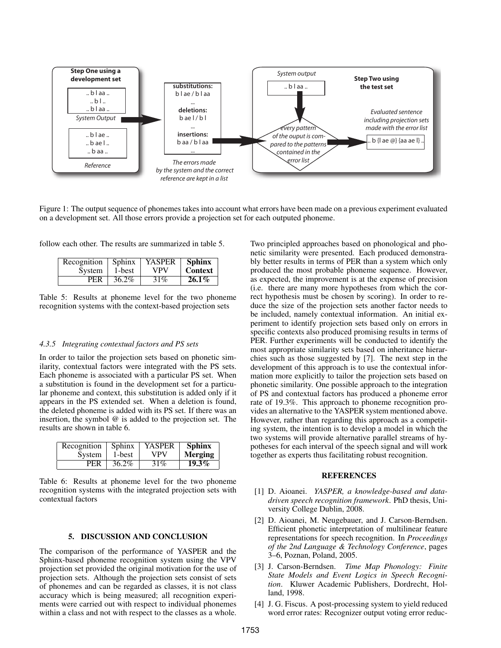

Figure 1: The output sequence of phonemes takes into account what errors have been made on a previous experiment evaluated on a development set. All those errors provide a projection set for each outputed phoneme.

follow each other. The results are summarized in table 5.

| Recognition | $\mid$ Sphinx | <b>YASPER</b> | <b>Sphinx</b>  |
|-------------|---------------|---------------|----------------|
| System      | 1-best        | VPV           | <b>Context</b> |
| PER         | $36.2\%$      | 31%           | $26.1\%$       |

Table 5: Results at phoneme level for the two phoneme recognition systems with the context-based projection sets

#### *4.3.5 Integrating contextual factors and PS sets*

In order to tailor the projection sets based on phonetic similarity, contextual factors were integrated with the PS sets. Each phoneme is associated with a particular PS set. When a substitution is found in the development set for a particular phoneme and context, this substitution is added only if it appears in the PS extended set. When a deletion is found, the deleted phoneme is added with its PS set. If there was an insertion, the symbol @ is added to the projection set. The results are shown in table 6.

| Recognition | Sphinx   | YASPER | <b>Sphinx</b> |
|-------------|----------|--------|---------------|
| System      | 1-best   | VPV    | Merging       |
| <b>PER</b>  | $36.2\%$ | 31%    | $19.3\%$      |

Table 6: Results at phoneme level for the two phoneme recognition systems with the integrated projection sets with contextual factors

# 5. DISCUSSION AND CONCLUSION

The comparison of the performance of YASPER and the Sphinx-based phoneme recognition system using the VPV projection set provided the original motivation for the use of projection sets. Although the projection sets consist of sets of phonemes and can be regarded as classes, it is not class accuracy which is being measured; all recognition experiments were carried out with respect to individual phonemes within a class and not with respect to the classes as a whole.

Two principled approaches based on phonological and phonetic similarity were presented. Each produced demonstrably better results in terms of PER than a system which only produced the most probable phoneme sequence. However, as expected, the improvement is at the expense of precision (i.e. there are many more hypotheses from which the correct hypothesis must be chosen by scoring). In order to reduce the size of the projection sets another factor needs to be included, namely contextual information. An initial experiment to identify projection sets based only on errors in specific contexts also produced promising results in terms of PER. Further experiments will be conducted to identify the most appropriate similarity sets based on inheritance hierarchies such as those suggested by [7]. The next step in the development of this approach is to use the contextual information more explicitly to tailor the projection sets based on phonetic similarity. One possible approach to the integration of PS and contextual factors has produced a phoneme error rate of 19.3%. This approach to phoneme recognition provides an alternative to the YASPER system mentioned above. However, rather than regarding this approach as a competiting system, the intention is to develop a model in which the two systems will provide alternative parallel streams of hypotheses for each interval of the speech signal and will work together as experts thus facilitating robust recognition.

#### **REFERENCES**

- [1] D. Aioanei. *YASPER, a knowledge-based and datadriven speech recognition framework*. PhD thesis, University College Dublin, 2008.
- [2] D. Aioanei, M. Neugebauer, and J. Carson-Berndsen. Efficient phonetic interpretation of multilinear feature representations for speech recognition. In *Proceedings of the 2nd Language & Technology Conference*, pages 3–6, Poznan, Poland, 2005.
- [3] J. Carson-Berndsen. *Time Map Phonology: Finite State Models and Event Logics in Speech Recognition*. Kluwer Academic Publishers, Dordrecht, Holland, 1998.
- [4] J. G. Fiscus. A post-processing system to yield reduced word error rates: Recognizer output voting error reduc-